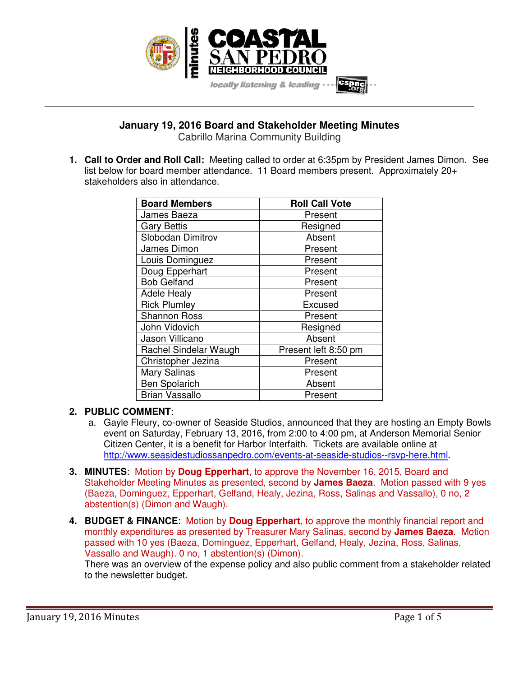

# **January 19, 2016 Board and Stakeholder Meeting Minutes**

**\_\_\_\_\_\_\_\_\_\_\_\_\_\_\_\_\_\_\_\_\_\_\_\_\_\_\_\_\_\_\_\_\_\_\_\_\_\_\_\_\_\_\_\_\_\_\_\_\_\_\_\_\_\_\_\_\_\_\_\_\_\_\_\_\_\_\_\_\_\_\_\_\_\_\_\_\_\_\_\_\_\_\_\_\_\_\_\_\_\_\_\_\_\_\_\_\_\_\_\_\_\_\_\_\_\_\_\_\_\_\_\_\_** 

Cabrillo Marina Community Building

**1. Call to Order and Roll Call:** Meeting called to order at 6:35pm by President James Dimon. See list below for board member attendance. 11 Board members present. Approximately 20+ stakeholders also in attendance.

| <b>Board Members</b>  | <b>Roll Call Vote</b> |
|-----------------------|-----------------------|
| James Baeza           | Present               |
| <b>Gary Bettis</b>    | Resigned              |
| Slobodan Dimitrov     | Absent                |
| James Dimon           | Present               |
| Louis Dominguez       | Present               |
| Doug Epperhart        | Present               |
| <b>Bob Gelfand</b>    | Present               |
| <b>Adele Healy</b>    | Present               |
| <b>Rick Plumley</b>   | Excused               |
| <b>Shannon Ross</b>   | Present               |
| John Vidovich         | Resigned              |
| Jason Villicano       | Absent                |
| Rachel Sindelar Waugh | Present left 8:50 pm  |
| Christopher Jezina    | Present               |
| Mary Salinas          | Present               |
| <b>Ben Spolarich</b>  | Absent                |
| <b>Brian Vassallo</b> | Present               |

## **2. PUBLIC COMMENT**:

- a. Gayle Fleury, co-owner of Seaside Studios, announced that they are hosting an Empty Bowls event on Saturday, February 13, 2016, from 2:00 to 4:00 pm, at Anderson Memorial Senior Citizen Center, it is a benefit for Harbor Interfaith. Tickets are available online at http://www.seasidestudiossanpedro.com/events-at-seaside-studios--rsvp-here.html.
- **3. MINUTES**: Motion by **Doug Epperhart**, to approve the November 16, 2015, Board and Stakeholder Meeting Minutes as presented, second by **James Baeza**. Motion passed with 9 yes (Baeza, Dominguez, Epperhart, Gelfand, Healy, Jezina, Ross, Salinas and Vassallo), 0 no, 2 abstention(s) (Dimon and Waugh).
- **4. BUDGET & FINANCE**: Motion by **Doug Epperhart**, to approve the monthly financial report and monthly expenditures as presented by Treasurer Mary Salinas, second by **James Baeza**. Motion passed with 10 yes (Baeza, Dominguez, Epperhart, Gelfand, Healy, Jezina, Ross, Salinas, Vassallo and Waugh). 0 no, 1 abstention(s) (Dimon). There was an overview of the expense policy and also public comment from a stakeholder related to the newsletter budget.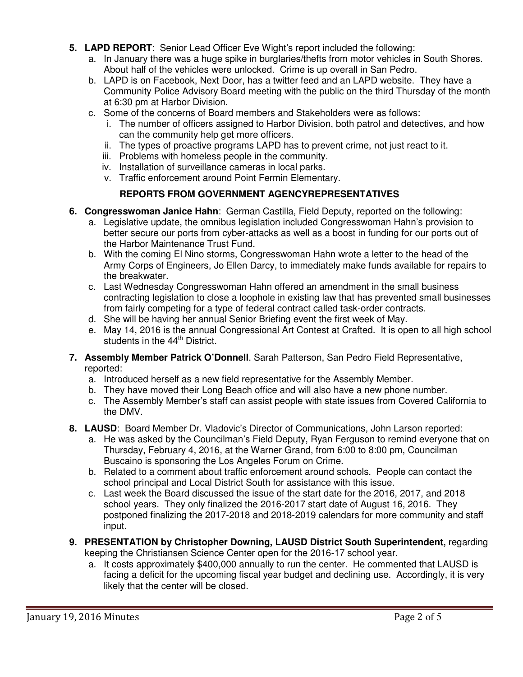- **5. LAPD REPORT**: Senior Lead Officer Eve Wight's report included the following:
	- a. In January there was a huge spike in burglaries/thefts from motor vehicles in South Shores. About half of the vehicles were unlocked. Crime is up overall in San Pedro.
	- b. LAPD is on Facebook, Next Door, has a twitter feed and an LAPD website. They have a Community Police Advisory Board meeting with the public on the third Thursday of the month at 6:30 pm at Harbor Division.
	- c. Some of the concerns of Board members and Stakeholders were as follows:
		- i. The number of officers assigned to Harbor Division, both patrol and detectives, and how can the community help get more officers.
		- ii. The types of proactive programs LAPD has to prevent crime, not just react to it.
		- iii. Problems with homeless people in the community.
		- iv. Installation of surveillance cameras in local parks.
		- v. Traffic enforcement around Point Fermin Elementary.

# **REPORTS FROM GOVERNMENT AGENCYREPRESENTATIVES**

- **6. Congresswoman Janice Hahn**: German Castilla, Field Deputy, reported on the following:
	- a. Legislative update, the omnibus legislation included Congresswoman Hahn's provision to better secure our ports from cyber-attacks as well as a boost in funding for our ports out of the Harbor Maintenance Trust Fund.
	- b. With the coming El Nino storms, Congresswoman Hahn wrote a letter to the head of the Army Corps of Engineers, Jo Ellen Darcy, to immediately make funds available for repairs to the breakwater.
	- c. Last Wednesday Congresswoman Hahn offered an amendment in the small business contracting legislation to close a loophole in existing law that has prevented small businesses from fairly competing for a type of federal contract called task-order contracts.
	- d. She will be having her annual Senior Briefing event the first week of May.
	- e. May 14, 2016 is the annual Congressional Art Contest at Crafted. It is open to all high school students in the 44<sup>th</sup> District.
- **7. Assembly Member Patrick O'Donnell**. Sarah Patterson, San Pedro Field Representative, reported:
	- a. Introduced herself as a new field representative for the Assembly Member.
	- b. They have moved their Long Beach office and will also have a new phone number.
	- c. The Assembly Member's staff can assist people with state issues from Covered California to the DMV.
- **8. LAUSD**: Board Member Dr. Vladovic's Director of Communications, John Larson reported:
	- a. He was asked by the Councilman's Field Deputy, Ryan Ferguson to remind everyone that on Thursday, February 4, 2016, at the Warner Grand, from 6:00 to 8:00 pm, Councilman Buscaino is sponsoring the Los Angeles Forum on Crime.
	- b. Related to a comment about traffic enforcement around schools. People can contact the school principal and Local District South for assistance with this issue.
	- c. Last week the Board discussed the issue of the start date for the 2016, 2017, and 2018 school years. They only finalized the 2016-2017 start date of August 16, 2016. They postponed finalizing the 2017-2018 and 2018-2019 calendars for more community and staff input.
- **9. PRESENTATION by Christopher Downing, LAUSD District South Superintendent,** regarding keeping the Christiansen Science Center open for the 2016-17 school year.
	- a. It costs approximately \$400,000 annually to run the center. He commented that LAUSD is facing a deficit for the upcoming fiscal year budget and declining use. Accordingly, it is very likely that the center will be closed.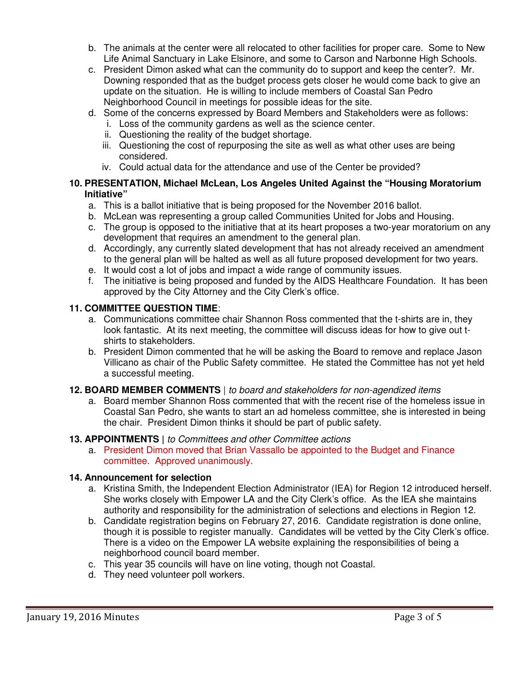- b. The animals at the center were all relocated to other facilities for proper care. Some to New Life Animal Sanctuary in Lake Elsinore, and some to Carson and Narbonne High Schools.
- c. President Dimon asked what can the community do to support and keep the center?. Mr. Downing responded that as the budget process gets closer he would come back to give an update on the situation. He is willing to include members of Coastal San Pedro Neighborhood Council in meetings for possible ideas for the site.
- d. Some of the concerns expressed by Board Members and Stakeholders were as follows:
	- i. Loss of the community gardens as well as the science center.
	- ii. Questioning the reality of the budget shortage.
	- iii. Questioning the cost of repurposing the site as well as what other uses are being considered.
	- iv. Could actual data for the attendance and use of the Center be provided?

#### **10. PRESENTATION, Michael McLean, Los Angeles United Against the "Housing Moratorium Initiative"**

- a. This is a ballot initiative that is being proposed for the November 2016 ballot.
- b. McLean was representing a group called Communities United for Jobs and Housing.
- c. The group is opposed to the initiative that at its heart proposes a two-year moratorium on any development that requires an amendment to the general plan.
- d. Accordingly, any currently slated development that has not already received an amendment to the general plan will be halted as well as all future proposed development for two years.
- e. It would cost a lot of jobs and impact a wide range of community issues.
- f. The initiative is being proposed and funded by the AIDS Healthcare Foundation. It has been approved by the City Attorney and the City Clerk's office.

#### **11. COMMITTEE QUESTION TIME**:

- a. Communications committee chair Shannon Ross commented that the t-shirts are in, they look fantastic. At its next meeting, the committee will discuss ideas for how to give out tshirts to stakeholders.
- b. President Dimon commented that he will be asking the Board to remove and replace Jason Villicano as chair of the Public Safety committee. He stated the Committee has not yet held a successful meeting.

#### **12. BOARD MEMBER COMMENTS** | to board and stakeholders for non-agendized items

a. Board member Shannon Ross commented that with the recent rise of the homeless issue in Coastal San Pedro, she wants to start an ad homeless committee, she is interested in being the chair. President Dimon thinks it should be part of public safety.

#### **13. APPOINTMENTS |** to Committees and other Committee actions

a. President Dimon moved that Brian Vassallo be appointed to the Budget and Finance committee. Approved unanimously.

#### **14. Announcement for selection**

- a. Kristina Smith, the Independent Election Administrator (IEA) for Region 12 introduced herself. She works closely with Empower LA and the City Clerk's office. As the IEA she maintains authority and responsibility for the administration of selections and elections in Region 12.
- b. Candidate registration begins on February 27, 2016. Candidate registration is done online, though it is possible to register manually. Candidates will be vetted by the City Clerk's office. There is a video on the Empower LA website explaining the responsibilities of being a neighborhood council board member.
- c. This year 35 councils will have on line voting, though not Coastal.
- d. They need volunteer poll workers.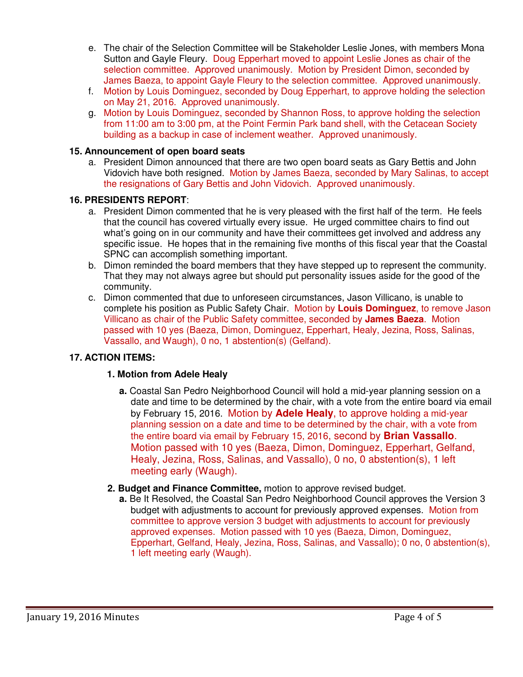- e. The chair of the Selection Committee will be Stakeholder Leslie Jones, with members Mona Sutton and Gayle Fleury. Doug Epperhart moved to appoint Leslie Jones as chair of the selection committee. Approved unanimously. Motion by President Dimon, seconded by James Baeza, to appoint Gayle Fleury to the selection committee. Approved unanimously.
- f. Motion by Louis Dominguez, seconded by Doug Epperhart, to approve holding the selection on May 21, 2016. Approved unanimously.
- g. Motion by Louis Dominguez, seconded by Shannon Ross, to approve holding the selection from 11:00 am to 3:00 pm, at the Point Fermin Park band shell, with the Cetacean Society building as a backup in case of inclement weather. Approved unanimously.

#### **15. Announcement of open board seats**

a. President Dimon announced that there are two open board seats as Gary Bettis and John Vidovich have both resigned. Motion by James Baeza, seconded by Mary Salinas, to accept the resignations of Gary Bettis and John Vidovich. Approved unanimously.

#### **16. PRESIDENTS REPORT**:

- a. President Dimon commented that he is very pleased with the first half of the term. He feels that the council has covered virtually every issue. He urged committee chairs to find out what's going on in our community and have their committees get involved and address any specific issue. He hopes that in the remaining five months of this fiscal year that the Coastal SPNC can accomplish something important.
- b. Dimon reminded the board members that they have stepped up to represent the community. That they may not always agree but should put personality issues aside for the good of the community.
- c. Dimon commented that due to unforeseen circumstances, Jason Villicano, is unable to complete his position as Public Safety Chair. Motion by **Louis Dominguez**, to remove Jason Villicano as chair of the Public Safety committee, seconded by **James Baeza**. Motion passed with 10 yes (Baeza, Dimon, Dominguez, Epperhart, Healy, Jezina, Ross, Salinas, Vassallo, and Waugh), 0 no, 1 abstention(s) (Gelfand).

## **17. ACTION ITEMS:**

#### **1. Motion from Adele Healy**

- **a.** Coastal San Pedro Neighborhood Council will hold a mid-year planning session on a date and time to be determined by the chair, with a vote from the entire board via email by February 15, 2016. Motion by **Adele Healy**, to approve holding a mid-year planning session on a date and time to be determined by the chair, with a vote from the entire board via email by February 15, 2016, second by **Brian Vassallo**. Motion passed with 10 yes (Baeza, Dimon, Dominguez, Epperhart, Gelfand, Healy, Jezina, Ross, Salinas, and Vassallo), 0 no, 0 abstention(s), 1 left meeting early (Waugh).
- **2. Budget and Finance Committee,** motion to approve revised budget.
	- **a.** Be It Resolved, the Coastal San Pedro Neighborhood Council approves the Version 3 budget with adjustments to account for previously approved expenses. Motion from committee to approve version 3 budget with adjustments to account for previously approved expenses. Motion passed with 10 yes (Baeza, Dimon, Dominguez, Epperhart, Gelfand, Healy, Jezina, Ross, Salinas, and Vassallo); 0 no, 0 abstention(s), 1 left meeting early (Waugh).